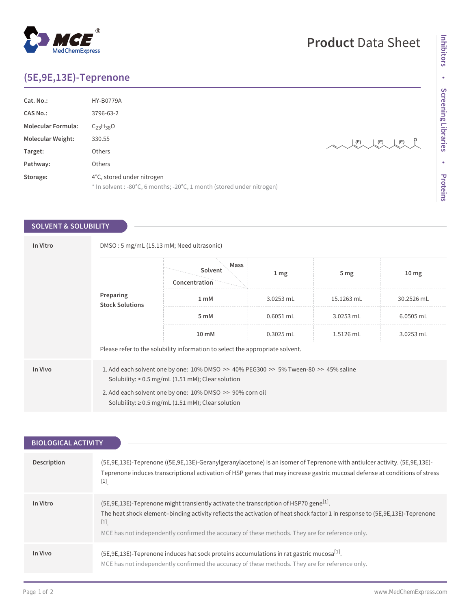## **(5E,9E,13E)-Teprenone**

MedChemExpress

 $^{\circledR}$ 

| <b>HY-B0779A</b>                                                                                     |                   |
|------------------------------------------------------------------------------------------------------|-------------------|
| 3796-63-2                                                                                            |                   |
| $C_{23}H_{38}O$                                                                                      |                   |
| 330.55                                                                                               | (E)<br>(E)<br>(E) |
| Others                                                                                               |                   |
| Others                                                                                               |                   |
| 4°C, stored under nitrogen<br>* In solvent : -80°C, 6 months; -20°C, 1 month (stored under nitrogen) |                   |
|                                                                                                      |                   |

## **SOLVENT & SOLUBILITY**

| In Vitro | DMSO: 5 mg/mL (15.13 mM; Need ultrasonic) |                                                                                                                                                                                                                                                                                    |                 |                 |                  |
|----------|-------------------------------------------|------------------------------------------------------------------------------------------------------------------------------------------------------------------------------------------------------------------------------------------------------------------------------------|-----------------|-----------------|------------------|
|          |                                           | Mass<br>Solvent<br>Concentration                                                                                                                                                                                                                                                   | 1 <sub>mg</sub> | 5 <sub>mg</sub> | 10 <sub>mg</sub> |
|          | Preparing<br><b>Stock Solutions</b>       | 1 mM                                                                                                                                                                                                                                                                               | 3.0253 mL       | 15.1263 mL      | 30.2526 mL       |
|          |                                           | 5 mM                                                                                                                                                                                                                                                                               | $0.6051$ mL     | 3.0253 mL       | 6.0505 mL        |
|          |                                           | 10 mM                                                                                                                                                                                                                                                                              | $0.3025$ mL     | 1.5126 mL       | 3.0253 mL        |
|          |                                           | Please refer to the solubility information to select the appropriate solvent.                                                                                                                                                                                                      |                 |                 |                  |
| In Vivo  |                                           | 1. Add each solvent one by one: $10\%$ DMSO $\geq$ 40% PEG300 $\geq$ 5% Tween-80 $\geq$ 45% saline<br>Solubility: $\geq$ 0.5 mg/mL (1.51 mM); Clear solution<br>2. Add each solvent one by one: 10% DMSO >> 90% corn oil<br>Solubility: $\geq$ 0.5 mg/mL (1.51 mM); Clear solution |                 |                 |                  |

| <b>BIOLOGICAL ACTIVITY</b> |                                                                                                                                                                                                                                                                                                                                              |
|----------------------------|----------------------------------------------------------------------------------------------------------------------------------------------------------------------------------------------------------------------------------------------------------------------------------------------------------------------------------------------|
|                            |                                                                                                                                                                                                                                                                                                                                              |
| <b>Description</b>         | (5E, 9E, 13E)-Teprenone ((5E, 9E, 13E)-Geranylgeranylacetone) is an isomer of Teprenone with antiulcer activity. (5E, 9E, 13E)-<br>Teprenone induces transcriptional activation of HSP genes that may increase gastric mucosal defense at conditions of stress<br>$[1]$                                                                      |
| In Vitro                   | (5E,9E,13E)-Teprenone might transiently activate the transcription of HSP70 gene <sup>[1]</sup> .<br>The heat shock element-binding activity reflects the activation of heat shock factor 1 in response to (5E,9E,13E)-Teprenone<br>$[1]$<br>MCE has not independently confirmed the accuracy of these methods. They are for reference only. |
| In Vivo                    | (5E,9E,13E)-Teprenone induces hat sock proteins accumulations in rat gastric mucosa <sup>[1]</sup> .<br>MCE has not independently confirmed the accuracy of these methods. They are for reference only.                                                                                                                                      |

## **Product** Data Sheet